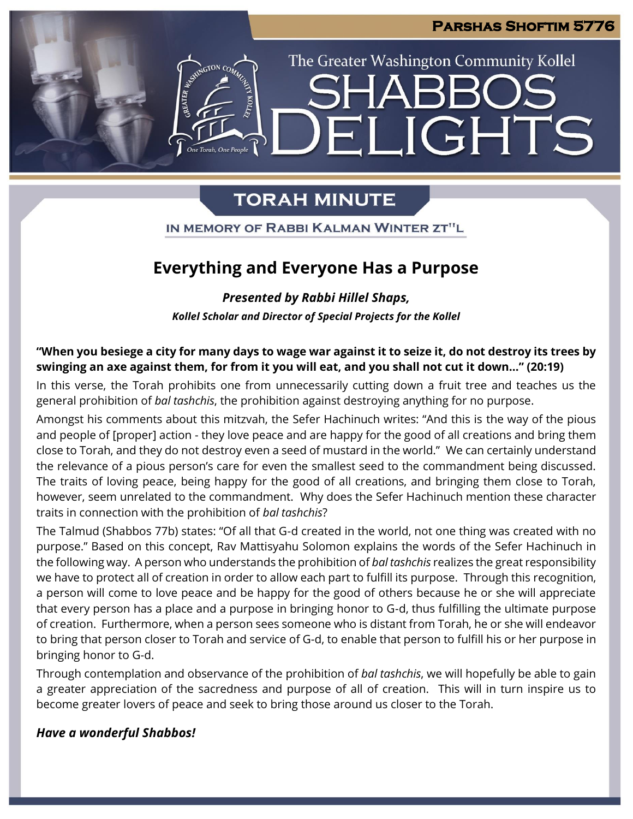IGHTS

The Greater Washington Community Kollel

# **TORAH MINUTE**

 $\blacksquare$ 

IN MEMORY OF RABBI KALMAN WINTER ZT"L

## **Everything and Everyone Has a Purpose**

*Presented by Rabbi Hillel Shaps,* 

*Kollel Scholar and Director of Special Projects for the Kollel*

**"When you besiege a city for many days to wage war against it to seize it, do not destroy its trees by swinging an axe against them, for from it you will eat, and you shall not cut it down…" (20:19)**

In this verse, the Torah prohibits one from unnecessarily cutting down a fruit tree and teaches us the general prohibition of *bal tashchis*, the prohibition against destroying anything for no purpose.

Amongst his comments about this mitzvah, the Sefer Hachinuch writes: "And this is the way of the pious and people of [proper] action - they love peace and are happy for the good of all creations and bring them close to Torah, and they do not destroy even a seed of mustard in the world." We can certainly understand the relevance of a pious person's care for even the smallest seed to the commandment being discussed. The traits of loving peace, being happy for the good of all creations, and bringing them close to Torah, however, seem unrelated to the commandment. Why does the Sefer Hachinuch mention these character traits in connection with the prohibition of *bal tashchis*?

The Talmud (Shabbos 77b) states: "Of all that G-d created in the world, not one thing was created with no purpose." Based on this concept, Rav Mattisyahu Solomon explains the words of the Sefer Hachinuch in the following way. A person who understands the prohibition of *bal tashchis* realizes the great responsibility we have to protect all of creation in order to allow each part to fulfill its purpose. Through this recognition, a person will come to love peace and be happy for the good of others because he or she will appreciate that every person has a place and a purpose in bringing honor to G-d, thus fulfilling the ultimate purpose of creation. Furthermore, when a person sees someone who is distant from Torah, he or she will endeavor to bring that person closer to Torah and service of G-d, to enable that person to fulfill his or her purpose in bringing honor to G-d.

Through contemplation and observance of the prohibition of *bal tashchis*, we will hopefully be able to gain a greater appreciation of the sacredness and purpose of all of creation. This will in turn inspire us to become greater lovers of peace and seek to bring those around us closer to the Torah.

## *Have a wonderful Shabbos!*